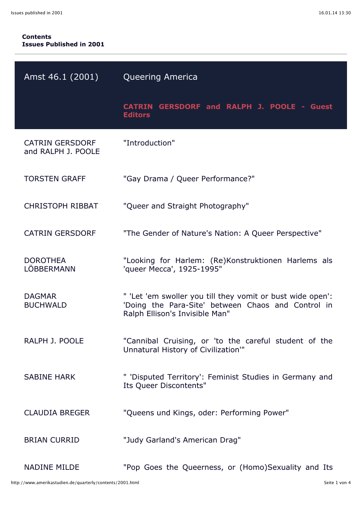## **Contents Issues Published in 2001**

| Amst 46.1 (2001)                             | <b>Queering America</b>                                                                                                                            |
|----------------------------------------------|----------------------------------------------------------------------------------------------------------------------------------------------------|
|                                              | CATRIN GERSDORF and RALPH J. POOLE - Guest<br><b>Editors</b>                                                                                       |
| <b>CATRIN GERSDORF</b><br>and RALPH J. POOLE | "Introduction"                                                                                                                                     |
| <b>TORSTEN GRAFF</b>                         | "Gay Drama / Queer Performance?"                                                                                                                   |
| <b>CHRISTOPH RIBBAT</b>                      | "Queer and Straight Photography"                                                                                                                   |
| <b>CATRIN GERSDORF</b>                       | "The Gender of Nature's Nation: A Queer Perspective"                                                                                               |
| <b>DOROTHEA</b><br>LÖBBERMANN                | "Looking for Harlem: (Re)Konstruktionen Harlems als<br>'queer Mecca', 1925-1995"                                                                   |
| <b>DAGMAR</b><br><b>BUCHWALD</b>             | " 'Let 'em swoller you till they vomit or bust wide open':<br>'Doing the Para-Site' between Chaos and Control in<br>Ralph Ellison's Invisible Man" |
| RALPH J. POOLE                               | "Cannibal Cruising, or 'to the careful student of the<br>Unnatural History of Civilization"                                                        |
| <b>SABINE HARK</b>                           | " 'Disputed Territory': Feminist Studies in Germany and<br>Its Queer Discontents"                                                                  |
| <b>CLAUDIA BREGER</b>                        | "Queens und Kings, oder: Performing Power"                                                                                                         |
| <b>BRIAN CURRID</b>                          | "Judy Garland's American Drag"                                                                                                                     |
| <b>NADINE MILDE</b>                          | "Pop Goes the Queerness, or (Homo)Sexuality and Its                                                                                                |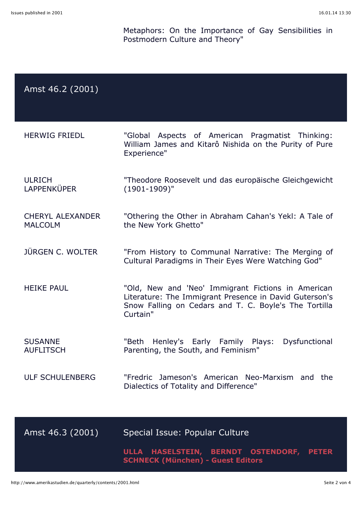Metaphors: On the Importance of Gay Sensibilities in Postmodern Culture and Theory"

| Amst 46.2 (2001) |  |
|------------------|--|
|------------------|--|

| <b>HERWIG FRIEDL</b> |             | "Global Aspects of American Pragmatist Thinking:       |  |
|----------------------|-------------|--------------------------------------------------------|--|
|                      |             | William James and Kitarô Nishida on the Purity of Pure |  |
|                      | Experience" |                                                        |  |
|                      |             |                                                        |  |

- ULRICH LAPPENKÜPER "Theodore Roosevelt und das europäische Gleichgewicht (1901-1909)"
- CHERYL ALEXANDER MALCOLM "Othering the Other in Abraham Cahan's Yekl: A Tale of the New York Ghetto"
- JÜRGEN C. WOLTER "From History to Communal Narrative: The Merging of Cultural Paradigms in Their Eyes Were Watching God"
- HEIKE PAUL "Old, New and 'Neo' Immigrant Fictions in American Literature: The Immigrant Presence in David Guterson's Snow Falling on Cedars and T. C. Boyle's The Tortilla Curtain"
- **SUSANNE AUFLITSCH** "Beth Henley's Early Family Plays: Dysfunctional Parenting, the South, and Feminism"
- ULF SCHULENBERG "Fredric Jameson's American Neo-Marxism and the Dialectics of Totality and Difference"

| Amst 46.3 (2001) | Special Issue: Popular Culture                                                       |  |  |
|------------------|--------------------------------------------------------------------------------------|--|--|
|                  | ULLA HASELSTEIN, BERNDT OSTENDORF, PETER<br><b>SCHNECK (München) - Guest Editors</b> |  |  |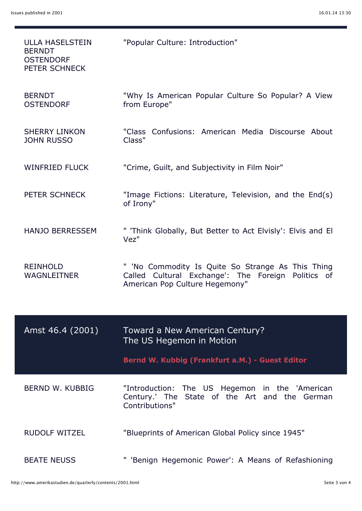| <b>ULLA HASELSTEIN</b><br><b>BERNDT</b><br><b>OSTENDORF</b><br>PETER SCHNECK | "Popular Culture: Introduction"                                                                                                           |
|------------------------------------------------------------------------------|-------------------------------------------------------------------------------------------------------------------------------------------|
| <b>BERNDT</b><br><b>OSTENDORF</b>                                            | "Why Is American Popular Culture So Popular? A View<br>from Europe"                                                                       |
| <b>SHERRY LINKON</b><br><b>JOHN RUSSO</b>                                    | "Class Confusions: American Media Discourse About<br>Class"                                                                               |
| <b>WINFRIED FLUCK</b>                                                        | "Crime, Guilt, and Subjectivity in Film Noir"                                                                                             |
| PETER SCHNECK                                                                | "Image Fictions: Literature, Television, and the End(s)<br>of Irony"                                                                      |
| <b>HANJO BERRESSEM</b>                                                       | " 'Think Globally, But Better to Act Elvisly': Elvis and El<br>Vez"                                                                       |
| <b>REINHOLD</b><br><b>WAGNLEITNER</b>                                        | " 'No Commodity Is Quite So Strange As This Thing<br>Called Cultural Exchange': The Foreign Politics of<br>American Pop Culture Hegemony" |
| Amst 46.4 (2001)                                                             | Toward a New American Century?<br>The US Hegemon in Motion                                                                                |
|                                                                              | Bernd W. Kubbig (Frankfurt a.M.) - Guest Editor                                                                                           |
| BERND W. KUBBIG                                                              | "Introduction: The US Hegemon in the 'American<br>Century.' The State of the Art and the German<br>Contributions"                         |
| <b>RUDOLF WITZEL</b>                                                         | "Blueprints of American Global Policy since 1945"                                                                                         |
| <b>BEATE NEUSS</b>                                                           | " 'Benign Hegemonic Power': A Means of Refashioning                                                                                       |